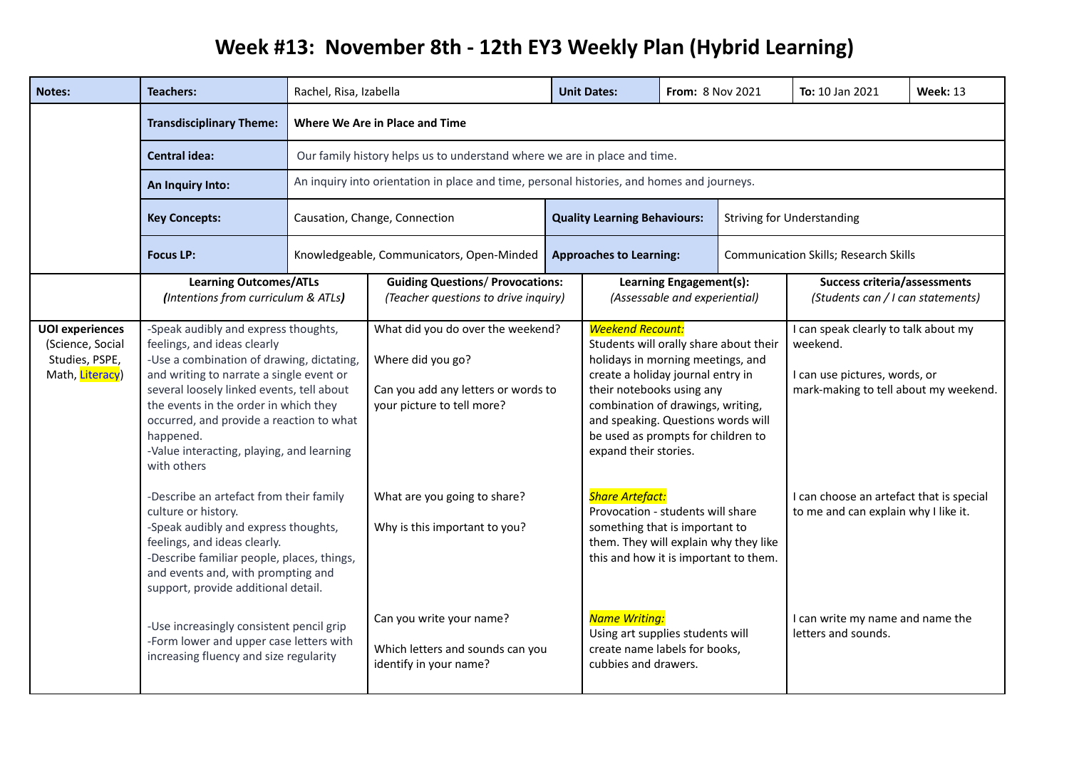## **Week #13: November 8th - 12th EY3 Weekly Plan (Hybrid Learning)**

| <b>Notes:</b>                                                                   | <b>Teachers:</b>                                                                                                                                                                                                                                                                                                                                                        | Rachel, Risa, Izabella                                                                                                                                                                                    |                                                                                                                             |  | <b>Unit Dates:</b>                                                                                                                                                                                                                                                                                                 | From: 8 Nov 2021                                         |  | To: 10 Jan 2021                                                                                                            | <b>Week: 13</b> |
|---------------------------------------------------------------------------------|-------------------------------------------------------------------------------------------------------------------------------------------------------------------------------------------------------------------------------------------------------------------------------------------------------------------------------------------------------------------------|-----------------------------------------------------------------------------------------------------------------------------------------------------------------------------------------------------------|-----------------------------------------------------------------------------------------------------------------------------|--|--------------------------------------------------------------------------------------------------------------------------------------------------------------------------------------------------------------------------------------------------------------------------------------------------------------------|----------------------------------------------------------|--|----------------------------------------------------------------------------------------------------------------------------|-----------------|
|                                                                                 | <b>Transdisciplinary Theme:</b>                                                                                                                                                                                                                                                                                                                                         | Where We Are in Place and Time<br>Our family history helps us to understand where we are in place and time.<br>An inquiry into orientation in place and time, personal histories, and homes and journeys. |                                                                                                                             |  |                                                                                                                                                                                                                                                                                                                    |                                                          |  |                                                                                                                            |                 |
|                                                                                 | <b>Central idea:</b>                                                                                                                                                                                                                                                                                                                                                    |                                                                                                                                                                                                           |                                                                                                                             |  |                                                                                                                                                                                                                                                                                                                    |                                                          |  |                                                                                                                            |                 |
|                                                                                 | An Inquiry Into:                                                                                                                                                                                                                                                                                                                                                        |                                                                                                                                                                                                           |                                                                                                                             |  |                                                                                                                                                                                                                                                                                                                    |                                                          |  |                                                                                                                            |                 |
|                                                                                 | <b>Key Concepts:</b>                                                                                                                                                                                                                                                                                                                                                    | Causation, Change, Connection<br><b>Quality Learning Behaviours:</b><br><b>Striving for Understanding</b>                                                                                                 |                                                                                                                             |  |                                                                                                                                                                                                                                                                                                                    |                                                          |  |                                                                                                                            |                 |
|                                                                                 | <b>Focus LP:</b>                                                                                                                                                                                                                                                                                                                                                        |                                                                                                                                                                                                           | Knowledgeable, Communicators, Open-Minded                                                                                   |  | <b>Approaches to Learning:</b>                                                                                                                                                                                                                                                                                     |                                                          |  | <b>Communication Skills; Research Skills</b>                                                                               |                 |
|                                                                                 | <b>Learning Outcomes/ATLs</b><br>(Intentions from curriculum & ATLs)                                                                                                                                                                                                                                                                                                    |                                                                                                                                                                                                           | <b>Guiding Questions/ Provocations:</b><br>(Teacher questions to drive inquiry)                                             |  |                                                                                                                                                                                                                                                                                                                    | Learning Engagement(s):<br>(Assessable and experiential) |  | <b>Success criteria/assessments</b><br>(Students can / I can statements)                                                   |                 |
| <b>UOI</b> experiences<br>(Science, Social<br>Studies, PSPE,<br>Math, Literacy) | -Speak audibly and express thoughts,<br>feelings, and ideas clearly<br>-Use a combination of drawing, dictating,<br>and writing to narrate a single event or<br>several loosely linked events, tell about<br>the events in the order in which they<br>occurred, and provide a reaction to what<br>happened.<br>-Value interacting, playing, and learning<br>with others |                                                                                                                                                                                                           | What did you do over the weekend?<br>Where did you go?<br>Can you add any letters or words to<br>your picture to tell more? |  | <b>Weekend Recount:</b><br>Students will orally share about their<br>holidays in morning meetings, and<br>create a holiday journal entry in<br>their notebooks using any<br>combination of drawings, writing,<br>and speaking. Questions words will<br>be used as prompts for children to<br>expand their stories. |                                                          |  | I can speak clearly to talk about my<br>weekend.<br>I can use pictures, words, or<br>mark-making to tell about my weekend. |                 |
|                                                                                 | -Describe an artefact from their family<br>culture or history.<br>-Speak audibly and express thoughts,<br>feelings, and ideas clearly.<br>-Describe familiar people, places, things,<br>and events and, with prompting and<br>support, provide additional detail.                                                                                                       |                                                                                                                                                                                                           | What are you going to share?<br>Why is this important to you?                                                               |  | <b>Share Artefact:</b><br>Provocation - students will share<br>something that is important to<br>them. They will explain why they like<br>this and how it is important to them.                                                                                                                                    |                                                          |  | I can choose an artefact that is special<br>to me and can explain why I like it.                                           |                 |
|                                                                                 | -Use increasingly consistent pencil grip<br>-Form lower and upper case letters with<br>increasing fluency and size regularity                                                                                                                                                                                                                                           |                                                                                                                                                                                                           | Can you write your name?<br>Which letters and sounds can you<br>identify in your name?                                      |  | <b>Name Writing:</b><br>Using art supplies students will<br>create name labels for books,<br>cubbies and drawers.                                                                                                                                                                                                  |                                                          |  | I can write my name and name the<br>letters and sounds.                                                                    |                 |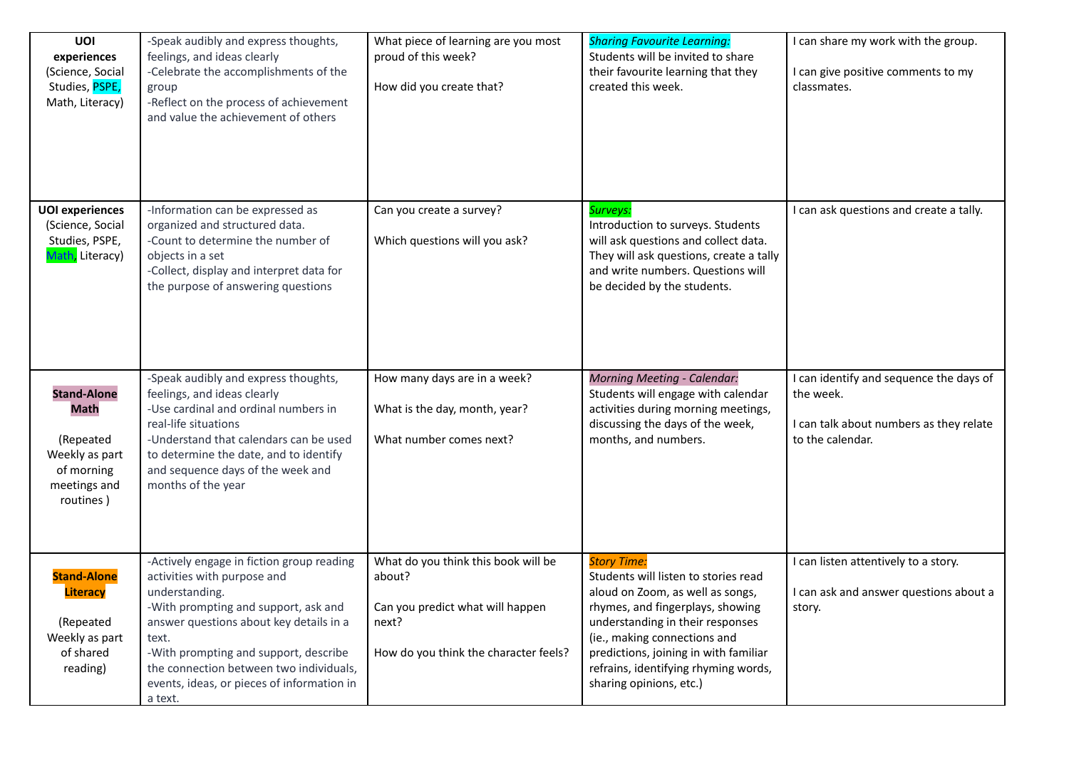| UOI<br>experiences<br>(Science, Social<br>Studies, PSPE,<br>Math, Literacy)                                 | -Speak audibly and express thoughts,<br>feelings, and ideas clearly<br>-Celebrate the accomplishments of the<br>group<br>-Reflect on the process of achievement<br>and value the achievement of others                                                                                                                              | What piece of learning are you most<br>proud of this week?<br>How did you create that?                                              | <b>Sharing Favourite Learning:</b><br>Students will be invited to share<br>their favourite learning that they<br>created this week.                                                                                                                                                                                | I can share my work with the group.<br>I can give positive comments to my<br>classmates.                            |
|-------------------------------------------------------------------------------------------------------------|-------------------------------------------------------------------------------------------------------------------------------------------------------------------------------------------------------------------------------------------------------------------------------------------------------------------------------------|-------------------------------------------------------------------------------------------------------------------------------------|--------------------------------------------------------------------------------------------------------------------------------------------------------------------------------------------------------------------------------------------------------------------------------------------------------------------|---------------------------------------------------------------------------------------------------------------------|
| <b>UOI</b> experiences<br>(Science, Social<br>Studies, PSPE,<br>Math, Literacy)                             | -Information can be expressed as<br>organized and structured data.<br>-Count to determine the number of<br>objects in a set<br>-Collect, display and interpret data for<br>the purpose of answering questions                                                                                                                       | Can you create a survey?<br>Which questions will you ask?                                                                           | Surveys:<br>Introduction to surveys. Students<br>will ask questions and collect data.<br>They will ask questions, create a tally<br>and write numbers. Questions will<br>be decided by the students.                                                                                                               | I can ask questions and create a tally.                                                                             |
| <b>Stand-Alone</b><br><b>Math</b><br>(Repeated<br>Weekly as part<br>of morning<br>meetings and<br>routines) | -Speak audibly and express thoughts,<br>feelings, and ideas clearly<br>-Use cardinal and ordinal numbers in<br>real-life situations<br>-Understand that calendars can be used<br>to determine the date, and to identify<br>and sequence days of the week and<br>months of the year                                                  | How many days are in a week?<br>What is the day, month, year?<br>What number comes next?                                            | <b>Morning Meeting - Calendar:</b><br>Students will engage with calendar<br>activities during morning meetings,<br>discussing the days of the week,<br>months, and numbers.                                                                                                                                        | I can identify and sequence the days of<br>the week.<br>I can talk about numbers as they relate<br>to the calendar. |
| <b>Stand-Alone</b><br><b>Literacy</b><br>(Repeated<br>Weekly as part<br>of shared<br>reading)               | -Actively engage in fiction group reading<br>activities with purpose and<br>understanding.<br>-With prompting and support, ask and<br>answer questions about key details in a<br>text.<br>-With prompting and support, describe<br>the connection between two individuals,<br>events, ideas, or pieces of information in<br>a text. | What do you think this book will be<br>about?<br>Can you predict what will happen<br>next?<br>How do you think the character feels? | <b>Story Time:</b><br>Students will listen to stories read<br>aloud on Zoom, as well as songs,<br>rhymes, and fingerplays, showing<br>understanding in their responses<br>(ie., making connections and<br>predictions, joining in with familiar<br>refrains, identifying rhyming words,<br>sharing opinions, etc.) | I can listen attentively to a story.<br>I can ask and answer questions about a<br>story.                            |